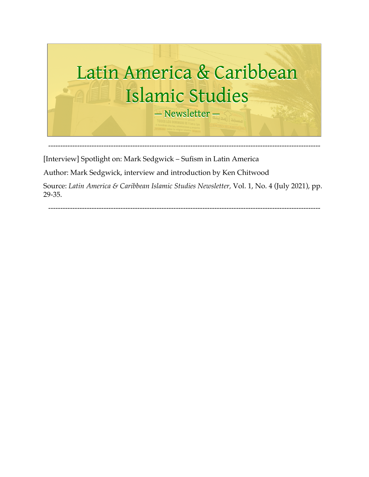

[Interview] Spotlight on: Mark Sedgwick – Sufism in Latin America

Author: Mark Sedgwick, interview and introduction by Ken Chitwood

Source: *Latin America & Caribbean Islamic Studies Newsletter,* Vol. 1, No. 4 (July 2021), pp. 29-35.

-----------------------------------------------------------------------------------------------------------------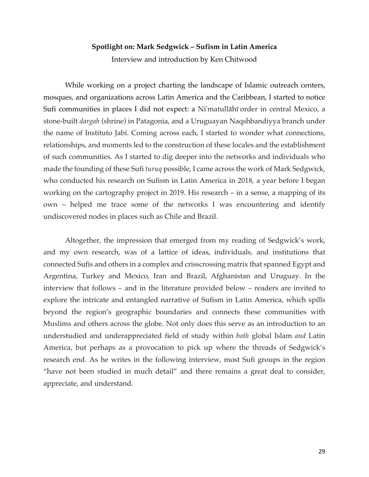#### **Spotlight on: Mark Sedgwick – Sufism in Latin America**

Interview and introduction by Ken Chitwood

While working on a project charting the landscape of Islamic outreach centers, mosques, and organizations across Latin America and the Caribbean, I started to notice Sufi communities in places I did not expect: a Ni'matullāhī order in central Mexico, a stone-built *dargah* (shrine) in Patagonia, and a Uruguayan Naqshbandiyya branch under the name of Instituto Jabí. Coming across each, I started to wonder what connections, relationships, and moments led to the construction of these locales and the establishment of such communities. As I started to dig deeper into the networks and individuals who made the founding of these Sufi *turuq* possible, I came across the work of Mark Sedgwick, who conducted his research on Sufism in Latin America in 2018, a year before I began working on the cartography project in 2019. His research – in a sense, a mapping of its own – helped me trace some of the networks I was encountering and identify undiscovered nodes in places such as Chile and Brazil.

Altogether, the impression that emerged from my reading of Sedgwick's work, and my own research, was of a lattice of ideas, individuals, and institutions that connected Sufis and others in a complex and crisscrossing matrix that spanned Egypt and Argentina, Turkey and Mexico, Iran and Brazil, Afghanistan and Uruguay. In the interview that follows – and in the literature provided below – readers are invited to explore the intricate and entangled narrative of Sufism in Latin America, which spills beyond the region's geographic boundaries and connects these communities with Muslims and others across the globe. Not only does this serve as an introduction to an understudied and underappreciated field of study within *both* global Islam *and* Latin America, but perhaps as a provocation to pick up where the threads of Sedgwick's research end. As he writes in the following interview, most Sufi groups in the region "have not been studied in much detail" and there remains a great deal to consider, appreciate, and understand.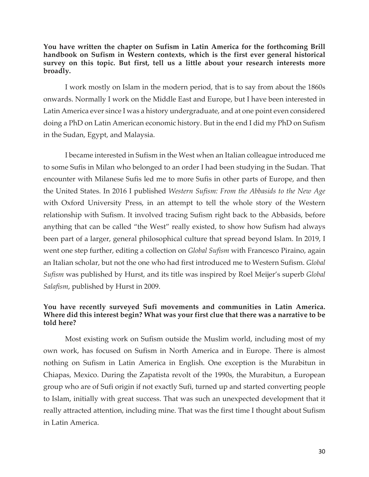**You have written the chapter on Sufism in Latin America for the forthcoming Brill handbook on Sufism in Western contexts, which is the first ever general historical survey on this topic. But first, tell us a little about your research interests more broadly.**

I work mostly on Islam in the modern period, that is to say from about the 1860s onwards. Normally I work on the Middle East and Europe, but I have been interested in Latin America ever since I was a history undergraduate, and at one point even considered doing a PhD on Latin American economic history. But in the end I did my PhD on Sufism in the Sudan, Egypt, and Malaysia.

I became interested in Sufism in the West when an Italian colleague introduced me to some Sufis in Milan who belonged to an order I had been studying in the Sudan. That encounter with Milanese Sufis led me to more Sufis in other parts of Europe, and then the United States. In 2016 I published *Western Sufism: From the Abbasids to the New Age* with Oxford University Press, in an attempt to tell the whole story of the Western relationship with Sufism. It involved tracing Sufism right back to the Abbasids, before anything that can be called "the West" really existed, to show how Sufism had always been part of a larger, general philosophical culture that spread beyond Islam. In 2019, I went one step further, editing a collection on *Global Sufism* with Francesco Piraino, again an Italian scholar, but not the one who had first introduced me to Western Sufism. *Global Sufism* was published by Hurst, and its title was inspired by Roel Meijer's superb *Global Salafism*, published by Hurst in 2009.

### **You have recently surveyed Sufi movements and communities in Latin America. Where did this interest begin? What was your first clue that there was a narrative to be told here?**

Most existing work on Sufism outside the Muslim world, including most of my own work, has focused on Sufism in North America and in Europe. There is almost nothing on Sufism in Latin America in English. One exception is the Murabitun in Chiapas, Mexico. During the Zapatista revolt of the 1990s, the Murabitun, a European group who are of Sufi origin if not exactly Sufi, turned up and started converting people to Islam, initially with great success. That was such an unexpected development that it really attracted attention, including mine. That was the first time I thought about Sufism in Latin America.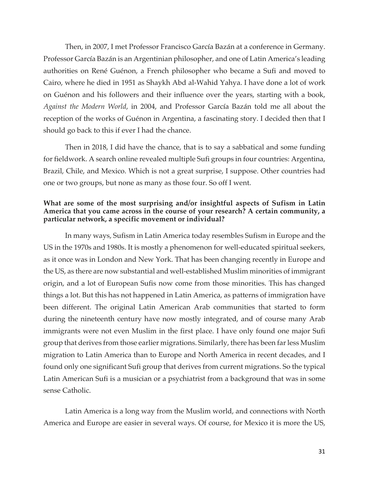Then, in 2007, I met Professor Francisco García Bazán at a conference in Germany. Professor García Bazán is an Argentinian philosopher, and one of Latin America's leading authorities on René Guénon, a French philosopher who became a Sufi and moved to Cairo, where he died in 1951 as Shaykh Abd al-Wahid Yahya. I have done a lot of work on Guénon and his followers and their influence over the years, starting with a book, *Against the Modern World*, in 2004, and Professor García Bazán told me all about the reception of the works of Guénon in Argentina, a fascinating story. I decided then that I should go back to this if ever I had the chance.

Then in 2018, I did have the chance, that is to say a sabbatical and some funding for fieldwork. A search online revealed multiple Sufi groups in four countries: Argentina, Brazil, Chile, and Mexico. Which is not a great surprise, I suppose. Other countries had one or two groups, but none as many as those four. So off I went.

### **What are some of the most surprising and/or insightful aspects of Sufism in Latin America that you came across in the course of your research? A certain community, a particular network, a specific movement or individual?**

In many ways, Sufism in Latin America today resembles Sufism in Europe and the US in the 1970s and 1980s. It is mostly a phenomenon for well-educated spiritual seekers, as it once was in London and New York. That has been changing recently in Europe and the US, as there are now substantial and well-established Muslim minorities of immigrant origin, and a lot of European Sufis now come from those minorities. This has changed things a lot. But this has not happened in Latin America, as patterns of immigration have been different. The original Latin American Arab communities that started to form during the nineteenth century have now mostly integrated, and of course many Arab immigrants were not even Muslim in the first place. I have only found one major Sufi group that derives from those earlier migrations. Similarly, there has been far less Muslim migration to Latin America than to Europe and North America in recent decades, and I found only one significant Sufi group that derives from current migrations. So the typical Latin American Sufi is a musician or a psychiatrist from a background that was in some sense Catholic.

Latin America is a long way from the Muslim world, and connections with North America and Europe are easier in several ways. Of course, for Mexico it is more the US,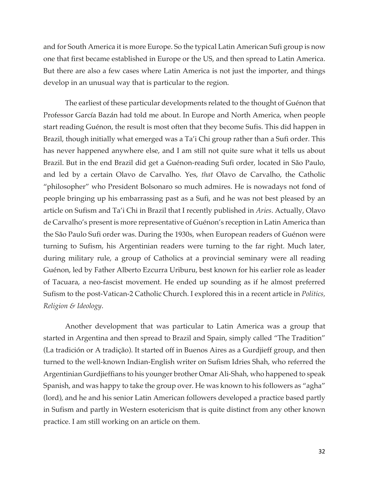and for South America it is more Europe. So the typical Latin American Sufi group is now one that first became established in Europe or the US, and then spread to Latin America. But there are also a few cases where Latin America is not just the importer, and things develop in an unusual way that is particular to the region.

The earliest of these particular developments related to the thought of Guénon that Professor García Bazán had told me about. In Europe and North America, when people start reading Guénon, the result is most often that they become Sufis. This did happen in Brazil, though initially what emerged was a Ta'i Chi group rather than a Sufi order. This has never happened anywhere else, and I am still not quite sure what it tells us about Brazil. But in the end Brazil did get a Guénon-reading Sufi order, located in São Paulo, and led by a certain Olavo de Carvalho. Yes, *that* Olavo de Carvalho, the Catholic "philosopher" who President Bolsonaro so much admires. He is nowadays not fond of people bringing up his embarrassing past as a Sufi, and he was not best pleased by an article on Sufism and Ta'i Chi in Brazil that I recently published in *Aries*. Actually, Olavo de Carvalho's present is more representative of Guénon's reception in Latin America than the São Paulo Sufi order was. During the 1930s, when European readers of Guénon were turning to Sufism, his Argentinian readers were turning to the far right. Much later, during military rule, a group of Catholics at a provincial seminary were all reading Guénon, led by Father Alberto Ezcurra Uriburu, best known for his earlier role as leader of Tacuara, a neo-fascist movement. He ended up sounding as if he almost preferred Sufism to the post-Vatican-2 Catholic Church. I explored this in a recent article in *Politics, Religion & Ideology*.

Another development that was particular to Latin America was a group that started in Argentina and then spread to Brazil and Spain, simply called "The Tradition" (La tradición or A tradição). It started off in Buenos Aires as a Gurdjieff group, and then turned to the well-known Indian-English writer on Sufism Idries Shah, who referred the Argentinian Gurdjieffians to his younger brother Omar Ali-Shah, who happened to speak Spanish, and was happy to take the group over. He was known to his followers as "agha" (lord), and he and his senior Latin American followers developed a practice based partly in Sufism and partly in Western esotericism that is quite distinct from any other known practice. I am still working on an article on them.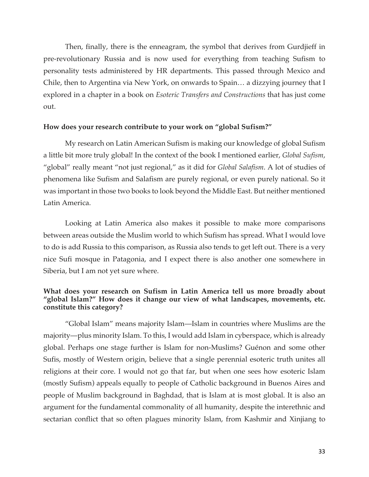Then, finally, there is the enneagram, the symbol that derives from Gurdjieff in pre-revolutionary Russia and is now used for everything from teaching Sufism to personality tests administered by HR departments. This passed through Mexico and Chile, then to Argentina via New York, on onwards to Spain… a dizzying journey that I explored in a chapter in a book on *Esoteric Transfers and Constructions* that has just come out.

#### **How does your research contribute to your work on "global Sufism?"**

My research on Latin American Sufism is making our knowledge of global Sufism a little bit more truly global! In the context of the book I mentioned earlier, *Global Sufism*, "global" really meant "not just regional," as it did for *Global Salafism*. A lot of studies of phenomena like Sufism and Salafism are purely regional, or even purely national. So it was important in those two books to look beyond the Middle East. But neither mentioned Latin America.

Looking at Latin America also makes it possible to make more comparisons between areas outside the Muslim world to which Sufism has spread. What I would love to do is add Russia to this comparison, as Russia also tends to get left out. There is a very nice Sufi mosque in Patagonia, and I expect there is also another one somewhere in Siberia, but I am not yet sure where.

## **What does your research on Sufism in Latin America tell us more broadly about "global Islam?" How does it change our view of what landscapes, movements, etc. constitute this category?**

"Global Islam" means majority Islam—Islam in countries where Muslims are the majority—plus minority Islam. To this, I would add Islam in cyberspace, which is already global. Perhaps one stage further is Islam for non-Muslims? Guénon and some other Sufis, mostly of Western origin, believe that a single perennial esoteric truth unites all religions at their core. I would not go that far, but when one sees how esoteric Islam (mostly Sufism) appeals equally to people of Catholic background in Buenos Aires and people of Muslim background in Baghdad, that is Islam at is most global. It is also an argument for the fundamental commonality of all humanity, despite the interethnic and sectarian conflict that so often plagues minority Islam, from Kashmir and Xinjiang to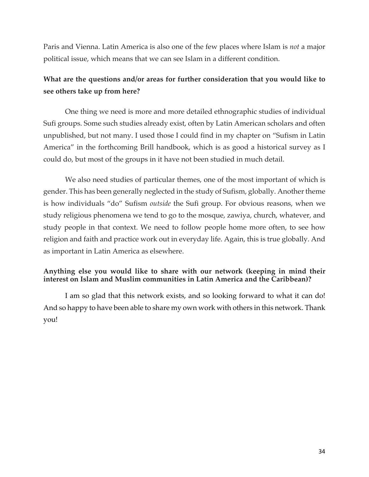Paris and Vienna. Latin America is also one of the few places where Islam is *not* a major political issue, which means that we can see Islam in a different condition.

# **What are the questions and/or areas for further consideration that you would like to see others take up from here?**

One thing we need is more and more detailed ethnographic studies of individual Sufi groups. Some such studies already exist, often by Latin American scholars and often unpublished, but not many. I used those I could find in my chapter on "Sufism in Latin America" in the forthcoming Brill handbook, which is as good a historical survey as I could do, but most of the groups in it have not been studied in much detail.

We also need studies of particular themes, one of the most important of which is gender. This has been generally neglected in the study of Sufism, globally. Another theme is how individuals "do" Sufism *outside* the Sufi group. For obvious reasons, when we study religious phenomena we tend to go to the mosque, zawiya, church, whatever, and study people in that context. We need to follow people home more often, to see how religion and faith and practice work out in everyday life. Again, this is true globally. And as important in Latin America as elsewhere.

# **Anything else you would like to share with our network (keeping in mind their interest on Islam and Muslim communities in Latin America and the Caribbean)?**

I am so glad that this network exists, and so looking forward to what it can do! And so happy to have been able to share my own work with others in this network. Thank you!